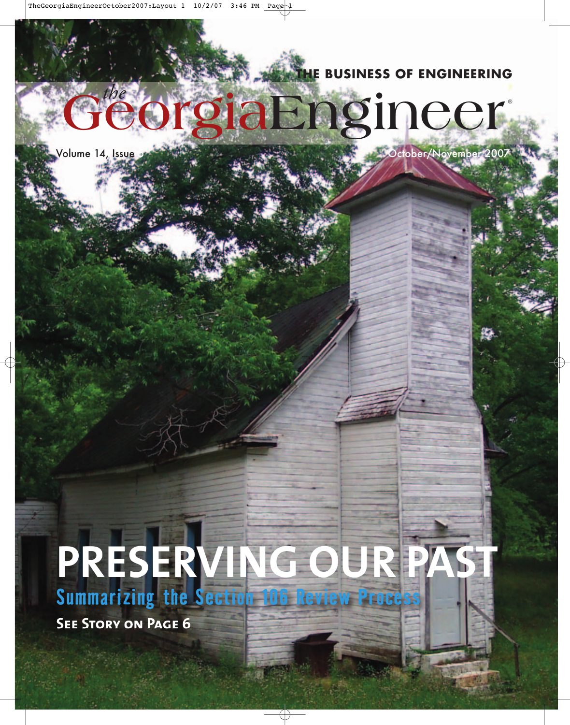**THE BUSINESS OF ENGINEERING** 

**®**

# **GeorgiaEngineer** *the*

Volume 14, Issue 5 October/November 2007

## **PRESERVING OUR PAST Summarizing the Section 106 Review Process**

**See Story on Page 6**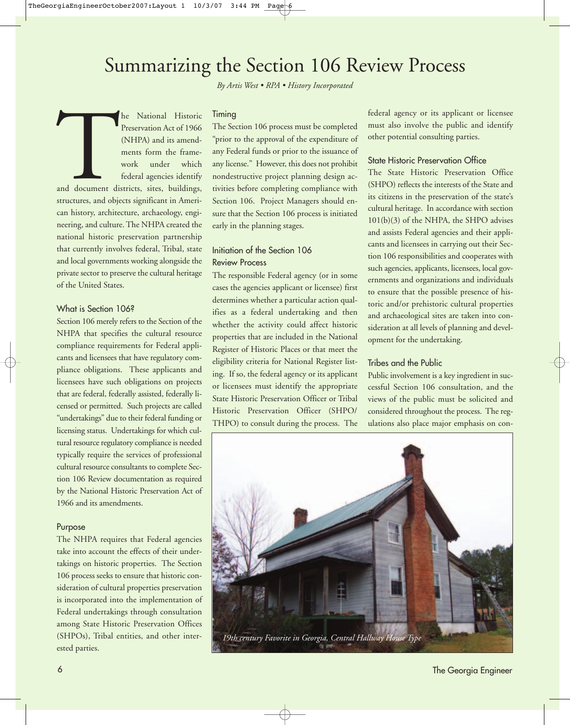### Summarizing the Section 106 Review Process

*By Artis West • RPA • History Incorporated*

The National Historic<br>Preservation Act of 1966<br>(NHPA) and its amend-<br>ments form the frame-<br>work under which<br>federal agencies identify<br>and document districts, sites, buildings,<br>structures, and objects significant in Ameri-Preservation Act of 1966 (NHPA) and its amendments form the framework under which federal agencies identify and document districts, sites, buildings, structures, and objects significant in American history, architecture, archaeology, engineering, and culture. The NHPA created the national historic preservation partnership that currently involves federal, Tribal, state and local governments working alongside the private sector to preserve the cultural heritage of the United States.

#### What is Section 1068

Section 106 merely refers to the Section of the NHPA that specifies the cultural resource compliance requirements for Federal applicants and licensees that have regulatory compliance obligations. These applicants and licensees have such obligations on projects that are federal, federally assisted, federally licensed or permitted. Such projects are called "undertakings" due to their federal funding or licensing status. Undertakings for which cultural resource regulatory compliance is needed typically require the services of professional cultural resource consultants to complete Section 106 Review documentation as required by the National Historic Preservation Act of 1966 and its amendments.

#### Purpose

The NHPA requires that Federal agencies take into account the effects of their undertakings on historic properties. The Section 106 process seeks to ensure that historic consideration of cultural properties preservation is incorporated into the implementation of Federal undertakings through consultation among State Historic Preservation Offices (SHPOs), Tribal entities, and other interested parties.

#### Timing

The Section 106 process must be completed "prior to the approval of the expenditure of any Federal funds or prior to the issuance of any license." However, this does not prohibit nondestructive project planning design activities before completing compliance with Section 106. Project Managers should ensure that the Section 106 process is initiated early in the planning stages.

#### Initiation of the Section 106 Review Process

The responsible Federal agency (or in some cases the agencies applicant or licensee) first determines whether a particular action qualifies as a federal undertaking and then whether the activity could affect historic properties that are included in the National Register of Historic Places or that meet the eligibility criteria for National Register listing. If so, the federal agency or its applicant or licensees must identify the appropriate State Historic Preservation Officer or Tribal Historic Preservation Officer (SHPO/ THPO) to consult during the process. The federal agency or its applicant or licensee must also involve the public and identify other potential consulting parties.

#### State Historic Preservation Office

The State Historic Preservation Office (SHPO) reflects the interests of the State and its citizens in the preservation of the state's cultural heritage. In accordance with section 101(b)(3) of the NHPA, the SHPO advises and assists Federal agencies and their applicants and licensees in carrying out their Section 106 responsibilities and cooperates with such agencies, applicants, licensees, local governments and organizations and individuals to ensure that the possible presence of historic and/or prehistoric cultural properties and archaeological sites are taken into consideration at all levels of planning and development for the undertaking.

#### Tribes and the Public

Public involvement is a key ingredient in successful Section 106 consultation, and the views of the public must be solicited and considered throughout the process. The regulations also place major emphasis on con-